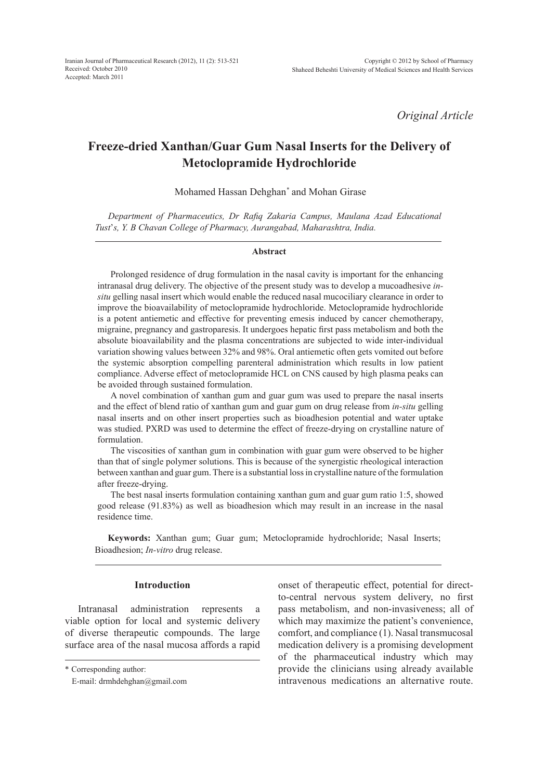*Original Article*

# **Freeze-dried Xanthan/Guar Gum Nasal Inserts for the Delivery of Metoclopramide Hydrochloride**

Mohamed Hassan Dehghan*\** and Mohan Girase

*Department of Pharmaceutics, Dr Rafiq Zakaria Campus, Maulana Azad Educational Tust*'*s, Y. B Chavan College of Pharmacy, Aurangabad, Maharashtra, India.*

#### **Abstract**

Prolonged residence of drug formulation in the nasal cavity is important for the enhancing intranasal drug delivery. The objective of the present study was to develop a mucoadhesive *insitu* gelling nasal insert which would enable the reduced nasal mucociliary clearance in order to improve the bioavailability of metoclopramide hydrochloride. Metoclopramide hydrochloride is a potent antiemetic and effective for preventing emesis induced by cancer chemotherapy, migraine, pregnancy and gastroparesis. It undergoes hepatic first pass metabolism and both the absolute bioavailability and the plasma concentrations are subjected to wide inter-individual variation showing values between 32% and 98%. Oral antiemetic often gets vomited out before the systemic absorption compelling parenteral administration which results in low patient compliance. Adverse effect of metoclopramide HCL on CNS caused by high plasma peaks can be avoided through sustained formulation.

A novel combination of xanthan gum and guar gum was used to prepare the nasal inserts and the effect of blend ratio of xanthan gum and guar gum on drug release from *in-situ* gelling nasal inserts and on other insert properties such as bioadhesion potential and water uptake was studied. PXRD was used to determine the effect of freeze-drying on crystalline nature of formulation.

The viscosities of xanthan gum in combination with guar gum were observed to be higher than that of single polymer solutions. This is because of the synergistic rheological interaction between xanthan and guar gum. There is a substantial loss in crystalline nature of the formulation after freeze-drying.

The best nasal inserts formulation containing xanthan gum and guar gum ratio 1:5, showed good release (91.83%) as well as bioadhesion which may result in an increase in the nasal residence time.

**Keywords:** Xanthan gum; Guar gum; Metoclopramide hydrochloride; Nasal Inserts; Bioadhesion; *In-vitro* drug release.

# **Introduction**

Intranasal administration represents a viable option for local and systemic delivery of diverse therapeutic compounds. The large surface area of the nasal mucosa affords a rapid onset of therapeutic effect, potential for directto-central nervous system delivery, no first pass metabolism, and non-invasiveness; all of which may maximize the patient's convenience, comfort, and compliance (1). Nasal transmucosal medication delivery is a promising development of the pharmaceutical industry which may provide the clinicians using already available intravenous medications an alternative route.

<sup>\*</sup> Corresponding author:

E-mail: drmhdehghan@gmail.com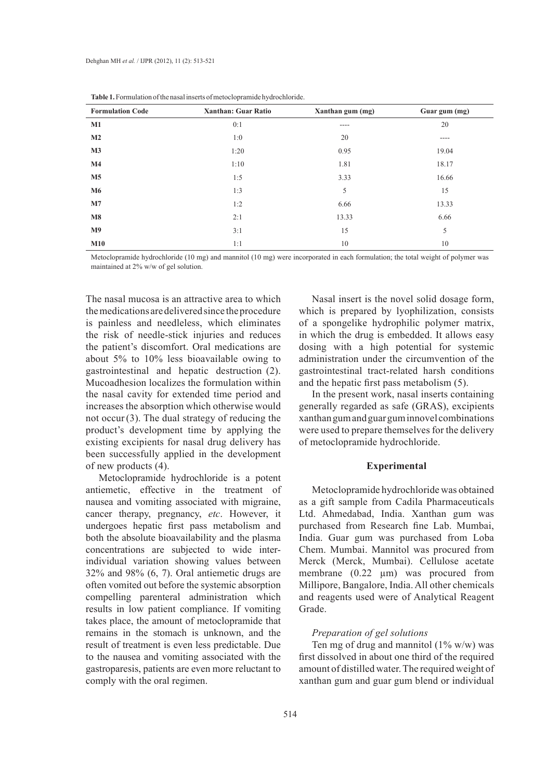| <b>Formulation Code</b> | <b>Xanthan: Guar Ratio</b> | Xanthan gum (mg) | Guar gum (mg) |
|-------------------------|----------------------------|------------------|---------------|
| $M1$                    | 0:1                        | $---$            | 20            |
| M <sub>2</sub>          | 1:0                        | 20               | ----          |
| M3                      | 1:20                       | 0.95             | 19.04         |
| $\mathbf{M}4$           | 1:10                       | 1.81             | 18.17         |
| M <sub>5</sub>          | 1:5                        | 3.33             | 16.66         |
| <b>M6</b>               | 1:3                        | 5                | 15            |
| M7                      | 1:2                        | 6.66             | 13.33         |
| $\mathbf{M8}$           | 2:1                        | 13.33            | 6.66          |
| M <sub>9</sub>          | 3:1                        | 15               | 5             |
| M10                     | 1:1                        | 10               | 10            |

Metoclopramide hydrochloride (10 mg) and mannitol (10 mg) were incorporated in each formulation; the total weight of polymer was maintained at 2% w/w of gel solution.

The nasal mucosa is an attractive area to which the medications are delivered since the procedure is painless and needleless, which eliminates the risk of needle-stick injuries and reduces the patient's discomfort. Oral medications are about 5% to 10% less bioavailable owing to gastrointestinal and hepatic destruction (2). Mucoadhesion localizes the formulation within the nasal cavity for extended time period and increases the absorption which otherwise would not occur (3). The dual strategy of reducing the product's development time by applying the existing excipients for nasal drug delivery has been successfully applied in the development of new products (4).

Metoclopramide hydrochloride is a potent antiemetic, effective in the treatment of nausea and vomiting associated with migraine, cancer therapy, pregnancy, *etc*. However, it undergoes hepatic first pass metabolism and both the absolute bioavailability and the plasma concentrations are subjected to wide interindividual variation showing values between 32% and 98% (6, 7). Oral antiemetic drugs are often vomited out before the systemic absorption compelling parenteral administration which results in low patient compliance. If vomiting takes place, the amount of metoclopramide that remains in the stomach is unknown, and the result of treatment is even less predictable. Due to the nausea and vomiting associated with the gastroparesis, patients are even more reluctant to comply with the oral regimen.

Nasal insert is the novel solid dosage form, which is prepared by lyophilization, consists of a spongelike hydrophilic polymer matrix, in which the drug is embedded. It allows easy dosing with a high potential for systemic administration under the circumvention of the gastrointestinal tract-related harsh conditions and the hepatic first pass metabolism (5).

In the present work, nasal inserts containing generally regarded as safe (GRAS), excipients xanthan gum and guar gum innovel combinations were used to prepare themselves for the delivery of metoclopramide hydrochloride.

# **Experimental**

Metoclopramide hydrochloride was obtained as a gift sample from Cadila Pharmaceuticals Ltd. Ahmedabad, India. Xanthan gum was purchased from Research fine Lab. Mumbai, India. Guar gum was purchased from Loba Chem. Mumbai. Mannitol was procured from Merck (Merck, Mumbai). Cellulose acetate membrane (0.22 µm) was procured from Millipore, Bangalore, India. All other chemicals and reagents used were of Analytical Reagent Grade.

# *Preparation of gel solutions*

Ten mg of drug and mannitol  $(1\% \text{ w/w})$  was first dissolved in about one third of the required amount of distilled water. The required weight of xanthan gum and guar gum blend or individual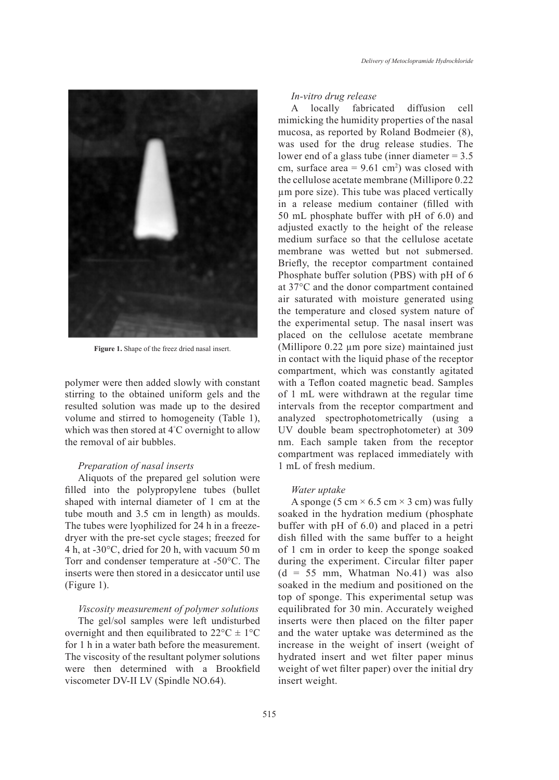

**Figure 1.** Shape of the freez dried nasal insert.

polymer were then added slowly with constant stirring to the obtained uniform gels and the resulted solution was made up to the desired volume and stirred to homogeneity (Table 1), which was then stored at 4° C overnight to allow the removal of air bubbles.

## *Preparation of nasal inserts*

Aliquots of the prepared gel solution were filled into the polypropylene tubes (bullet shaped with internal diameter of 1 cm at the tube mouth and 3.5 cm in length) as moulds. The tubes were lyophilized for 24 h in a freezedryer with the pre-set cycle stages; freezed for 4 h, at -30°C, dried for 20 h, with vacuum 50 m Torr and condenser temperature at -50°C. The inserts were then stored in a desiccator until use (Figure 1).

*Viscosity measurement of polymer solutions* The gel/sol samples were left undisturbed overnight and then equilibrated to  $22^{\circ}C \pm 1^{\circ}C$ for 1 h in a water bath before the measurement. The viscosity of the resultant polymer solutions were then determined with a Brookfield viscometer DV-II LV (Spindle NO.64).

#### *In-vitro drug release*

A locally fabricated diffusion cell mimicking the humidity properties of the nasal mucosa, as reported by Roland Bodmeier (8), was used for the drug release studies. The lower end of a glass tube (inner diameter = 3.5 cm, surface area  $= 9.61$  cm<sup>2</sup>) was closed with the cellulose acetate membrane (Millipore 0.22 µm pore size). This tube was placed vertically in a release medium container (filled with 50 mL phosphate buffer with pH of 6.0) and adjusted exactly to the height of the release medium surface so that the cellulose acetate membrane was wetted but not submersed. Briefly, the receptor compartment contained Phosphate buffer solution (PBS) with pH of 6 at 37°C and the donor compartment contained air saturated with moisture generated using the temperature and closed system nature of the experimental setup. The nasal insert was placed on the cellulose acetate membrane (Millipore 0.22 µm pore size) maintained just in contact with the liquid phase of the receptor compartment, which was constantly agitated with a Teflon coated magnetic bead. Samples of 1 mL were withdrawn at the regular time intervals from the receptor compartment and analyzed spectrophotometrically (using a UV double beam spectrophotometer) at 309 nm. Each sample taken from the receptor compartment was replaced immediately with 1 mL of fresh medium.

## *Water uptake*

A sponge (5 cm  $\times$  6.5 cm  $\times$  3 cm) was fully soaked in the hydration medium (phosphate buffer with pH of 6.0) and placed in a petri dish filled with the same buffer to a height of 1 cm in order to keep the sponge soaked during the experiment. Circular filter paper  $(d = 55$  mm, Whatman No.41) was also soaked in the medium and positioned on the top of sponge. This experimental setup was equilibrated for 30 min. Accurately weighed inserts were then placed on the filter paper and the water uptake was determined as the increase in the weight of insert (weight of hydrated insert and wet filter paper minus weight of wet filter paper) over the initial dry insert weight.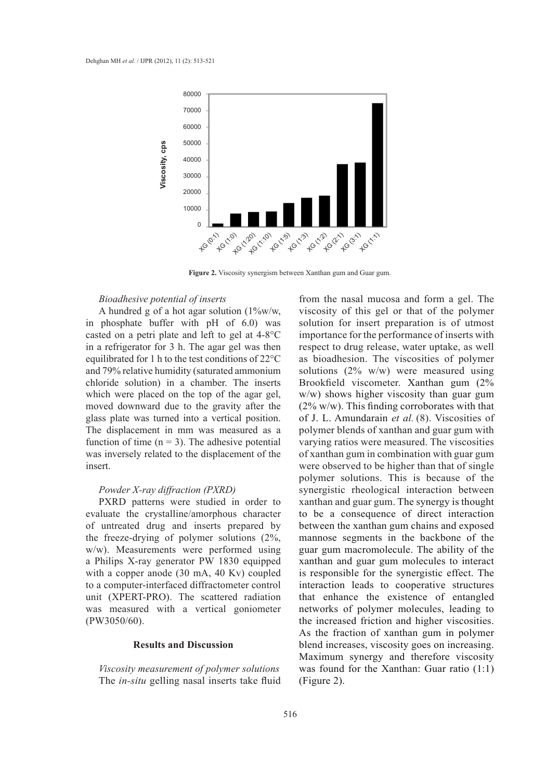

**Figure 2.** Viscosity synergism between Xanthan gum and Guar gum.

## *Bioadhesive potential of inserts*

A hundred g of a hot agar solution (1%w/w, in phosphate buffer with pH of 6.0) was casted on a petri plate and left to gel at 4-8°C in a refrigerator for 3 h. The agar gel was then equilibrated for 1 h to the test conditions of 22°C and 79% relative humidity (saturated ammonium chloride solution) in a chamber. The inserts which were placed on the top of the agar gel, moved downward due to the gravity after the glass plate was turned into a vertical position. The displacement in mm was measured as a function of time  $(n = 3)$ . The adhesive potential was inversely related to the displacement of the insert.

#### *Powder X-ray diffraction (PXRD)*

PXRD patterns were studied in order to evaluate the crystalline/amorphous character of untreated drug and inserts prepared by the freeze-drying of polymer solutions (2%, w/w). Measurements were performed using a Philips X-ray generator PW 1830 equipped with a copper anode (30 mA, 40 Kv) coupled to a computer-interfaced diffractometer control unit (XPERT-PRO). The scattered radiation was measured with a vertical goniometer (PW3050/60).

### **Results and Discussion**

*Viscosity measurement of polymer solutions* The *in-situ* gelling nasal inserts take fluid from the nasal mucosa and form a gel. The viscosity of this gel or that of the polymer solution for insert preparation is of utmost importance for the performance of inserts with respect to drug release, water uptake, as well as bioadhesion. The viscosities of polymer solutions (2% w/w) were measured using Brookfield viscometer. Xanthan gum (2% w/w) shows higher viscosity than guar gum (2% w/w). This finding corroborates with that of J. L. Amundarain *et al.* (8). Viscosities of polymer blends of xanthan and guar gum with varying ratios were measured. The viscosities of xanthan gum in combination with guar gum were observed to be higher than that of single polymer solutions. This is because of the synergistic rheological interaction between xanthan and guar gum. The synergy is thought to be a consequence of direct interaction between the xanthan gum chains and exposed mannose segments in the backbone of the guar gum macromolecule. The ability of the xanthan and guar gum molecules to interact is responsible for the synergistic effect. The interaction leads to cooperative structures that enhance the existence of entangled networks of polymer molecules, leading to the increased friction and higher viscosities. As the fraction of xanthan gum in polymer blend increases, viscosity goes on increasing. Maximum synergy and therefore viscosity was found for the Xanthan: Guar ratio (1:1) (Figure 2).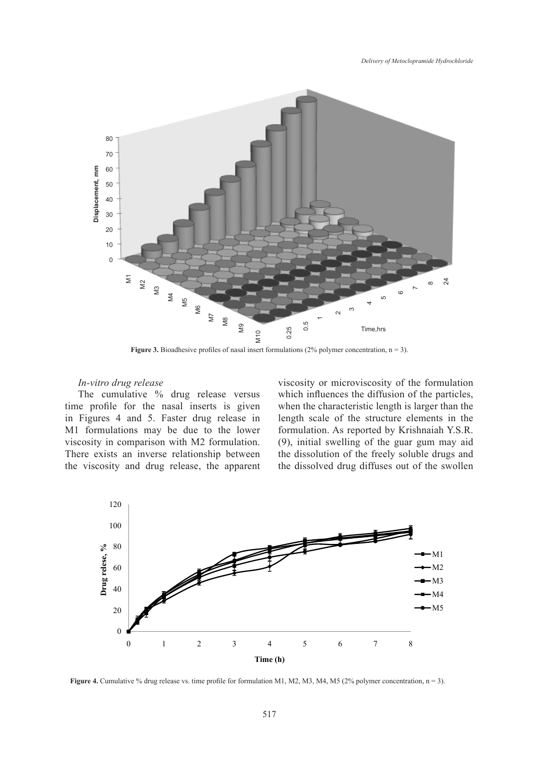

**Figure 3.** Bioadhesive profiles of nasal insert formulations  $(2\%$  polymer concentration,  $n = 3$ ).

# *In-vitro drug release*

*In-vitro arug release*<br>The cumulative % drug release versus<br>a profile for the pasel inserts is given time profile for the nasal inserts is given in Figures 4 and 5. Faster drug release in M1 formulations may be due to the lower viscosity in comparison with M2 formulation. There exists an inverse relationship between the viscosity and drug release, the apparent

viscosity or microviscosity of the formulation 1 2 which influences the diffusion of the particles, when the characteristic length is larger than the length scale of the structure elements in the formulation. As reported by Krishnaiah Y.S.R. **Figure 3. International insert for the guar gum may aid sity in comparison** with M2 formulation. (9), initial swelling of the guar gum may aid the dissolution of the freely soluble drugs and the dissolved drug diffuses out of the swollen



**Figure 4.** Cumulative % drug release vs. time profile for formulation M1, M2, M3, M4, M5 (2% polymer concentration, n = 3).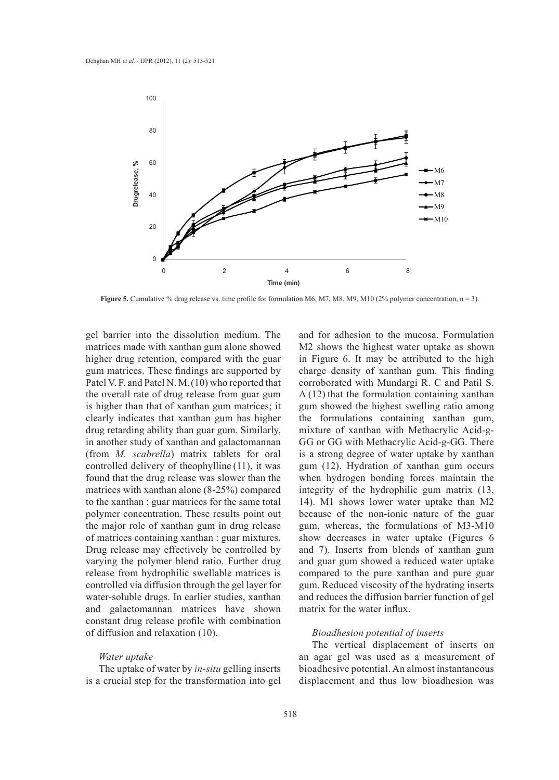

**Figure 5.** Cumulative % drug release vs. time profile for formulation M6, M7, M8, M9, M10 (2% polymer concentration,  $n = 3$ ).

gel barrier into the dissolution medium. The matrices made with xanthan gum alone showed higher drug retention, compared with the guar gum matrices. These findings are supported by Patel V. F. and Patel N. M.(10) who reported that the overall rate of drug release from guar gum  $A(12)$  that the formulation containing is higher than that of xanthan gum matrices; it clearly indicates that xanthan gum has higher drug retarding ability than guar gum. Similarly, mixture of xanthan with Methacrylic in another study of xanthan and galactomannan (from *M. scabrella*) matrix tablets for oral is a strong degree of water uptake by controlled delivery of theophylline (11), it was found that the drug release was slower than the when hydrogen bonding forces main found that the drug release was slower than the matrices with xanthan alone (8-25%) compared integrity of the hydrophilic gum ma to the xanthan : guar matrices for the same total polymer concentration. These results point out because of the non-ionic nature of the major role of xanthan gum in drug release of matrices containing xanthan : guar mixtures. Drug release may effectively be controlled by and 7). Inserts from blends of xantl varying the polymer blend ratio. Further drug release from hydrophilic swellable matrices is controlled via diffusion through the gel layer for water-soluble drugs. In earlier studies, xanthan and galactomannan matrices have shown constant drug release profile with combination of diffusion and relaxation (10).

#### *Water uptake*

The uptake of water by *in-situ* gelling inserts is a crucial step for the transformation into gel

and for adhesion to the mucosa. Formulation M2 shows the highest water uptake as shown in Figure 6. It may be attributed to the high Execution The uptace of the upported by *in-situde density* of xanthan gum. This finding into the transformation into  $\frac{1}{2}$ corroborated with Mundargi R. C and Patil S. A (12) that the formulation containing xanthan gum showed the highest swelling ratio among ndicates that xanthan gum has higher the formulations containing xanthan gum, mixture of xanthan with Methacrylic Acid-g-GG or GG with Methacrylic Acid-g-GG. There is a strong degree of water uptake by xanthan gum (12). Hydration of xanthan gum occurs when hydrogen bonding forces maintain the integrity of the hydrophilic gum matrix (13, 14). M1 shows lower water uptake than M2 because of the non-ionic nature of the guar gum, whereas, the formulations of M3-M10 es containing xanthan : guar mixtures. Show decreases in water uptake (Figures 6 ortaining xanthan : guar mixtures. and 7). Inserts from blends of xanthan gum and guar gum showed a reduced water uptake compared to the pure xanthan and pure guar gum. Reduced viscosity of the hydrating inserts and reduces the diffusion barrier function of gel matrix for the water influx.

## *Bioadhesion potential of inserts*

The vertical displacement of inserts on an agar gel was used as a measurement of bioadhesive potential. An almost instantaneous displacement and thus low bioadhesion was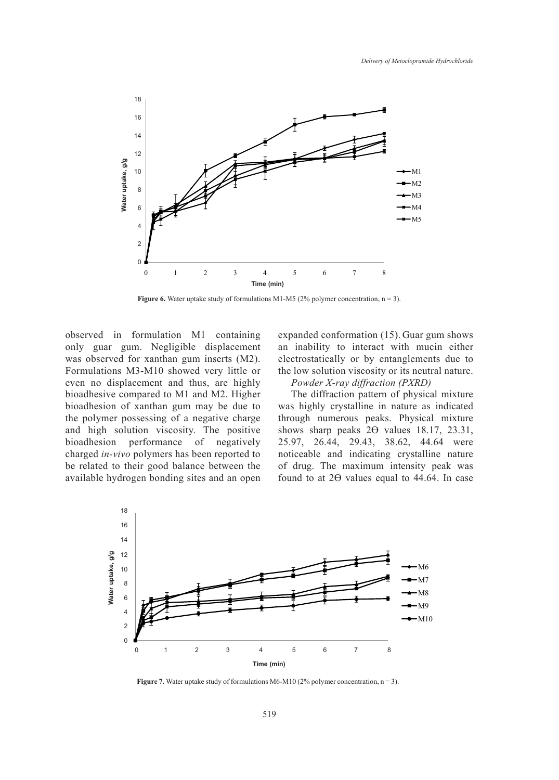

**Figure 6.** Water uptake study of formulations M1-M5 (2% polymer concentration,  $n = 3$ ).

observed in formulation M1 containing only guar gum. Negligible displacement was observed for xanthan gum inserts (M2). Formulations M3-M10 showed very little or even no displacement and thus, are highly bioadhesive compared to M1 and M2. Higher bioadhesion of xanthan gum may be due to the polymer possessing of a negative charge and high solution viscosity. The positive bioadhesion performance of negatively charged *in-vivo* polymers has been reported to be related to their good balance between the available hydrogen bonding sites and an open expanded conformation (15). Guar gum shows an inability to interact with mucin either electrostatically or by entanglements due to the low solution viscosity or its neutral nature.

*Powder X-ray diffraction (PXRD)*

The diffraction pattern of physical mixture was highly crystalline in nature as indicated through numerous peaks. Physical mixture shows sharp peaks  $2\Theta$  values 18.17, 23.31, 25.97, 26.44, 29.43, 38.62, 44.64 were noticeable and indicating crystalline nature of drug. The maximum intensity peak was found to at 2Ө values equal to 44.64. In case



**Figure 7.** Water uptake study of formulations M6-M10 (2% polymer concentration,  $n = 3$ ).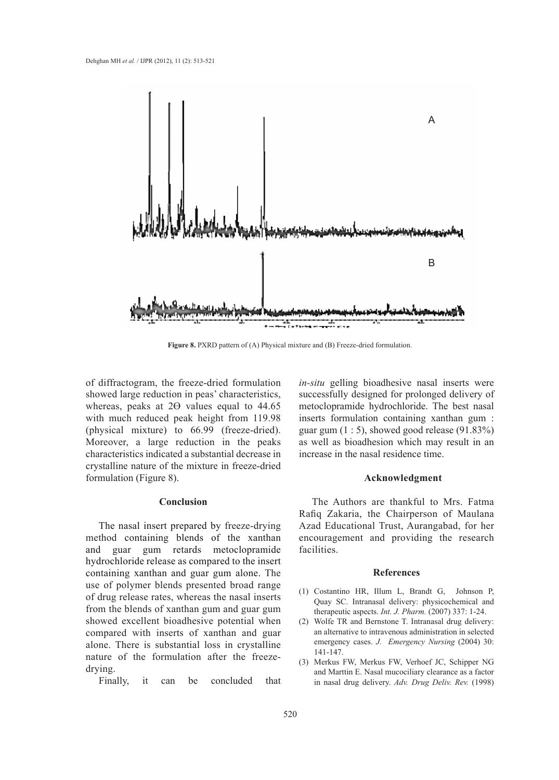

Figure 8. PXRD pattern of (A) Physical mixture and (B) Freeze-dried formulation.

of diffractogram, the freeze-dried formulation showed large reduction in peas' characteristics, whereas, peaks at 20 values equal to 44.65 with much reduced peak height from 119.98 (physical mixture) to 66.99 (freeze-dried). Moreover, a large reduction in the peaks characteristics indicated a substantial decrease in crystalline nature of the mixture in freeze-dried formulation (Figure 8).

# **Conclusion**

The nasal insert prepared by freeze-drying method containing blends of the xanthan and guar gum retards metoclopramide hydrochloride release as compared to the insert containing xanthan and guar gum alone. The use of polymer blends presented broad range of drug release rates, whereas the nasal inserts from the blends of xanthan gum and guar gum showed excellent bioadhesive potential when compared with inserts of xanthan and guar alone. There is substantial loss in crystalline nature of the formulation after the freezedrying.

Finally, it can be concluded that

*in-situ* gelling bioadhesive nasal inserts were successfully designed for prolonged delivery of metoclopramide hydrochloride. The best nasal inserts formulation containing xanthan gum : guar gum  $(1:5)$ , showed good release  $(91.83\%)$ as well as bioadhesion which may result in an increase in the nasal residence time.

#### **Acknowledgment**

The Authors are thankful to Mrs. Fatma Rafiq Zakaria, the Chairperson of Maulana Azad Educational Trust, Aurangabad, for her encouragement and providing the research facilities.

#### **References**

- Costantino HR, Illum L, Brandt G, Johnson P, (1) Quay SC. Intranasal delivery: physicochemical and therapeutic aspects. *Int. J. Pharm.* (2007) 337: 1-24.
- Wolfe TR and Bernstone T. Intranasal drug delivery: (2) an alternative to intravenous administration in selected emergency cases. *J. Emergency Nursing* (2004) 30: 141-147.
- (3) Merkus FW, Merkus FW, Verhoef JC, Schipper NG and Marttin E. Nasal mucociliary clearance as a factor in nasal drug delivery. *Adv. Drug Deliv. Rev.* (1998)